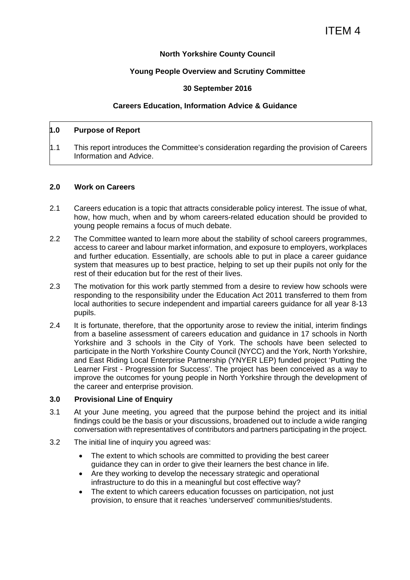### **North Yorkshire County Council**

## **Young People Overview and Scrutiny Committee**

### **30 September 2016**

#### **Careers Education, Information Advice & Guidance**

### **1.0 Purpose of Report**

1.1 This report introduces the Committee's consideration regarding the provision of Careers Information and Advice.

#### **2.0 Work on Careers**

- 2.1 Careers education is a topic that attracts considerable policy interest. The issue of what, how, how much, when and by whom careers-related education should be provided to young people remains a focus of much debate.
- 2.2 The Committee wanted to learn more about the stability of school careers programmes, access to career and labour market information, and exposure to employers, workplaces and further education. Essentially, are schools able to put in place a career guidance system that measures up to best practice, helping to set up their pupils not only for the rest of their education but for the rest of their lives.
- 2.3 The motivation for this work partly stemmed from a desire to review how schools were responding to the responsibility under the Education Act 2011 transferred to them from local authorities to secure independent and impartial careers guidance for all year 8-13 pupils.
- 2.4 It is fortunate, therefore, that the opportunity arose to review the initial, interim findings from a baseline assessment of careers education and guidance in 17 schools in North Yorkshire and 3 schools in the City of York. The schools have been selected to participate in the North Yorkshire County Council (NYCC) and the York, North Yorkshire, and East Riding Local Enterprise Partnership (YNYER LEP) funded project 'Putting the Learner First - Progression for Success'. The project has been conceived as a way to improve the outcomes for young people in North Yorkshire through the development of the career and enterprise provision.

#### **3.0 Provisional Line of Enquiry**

- 3.1 At your June meeting, you agreed that the purpose behind the project and its initial findings could be the basis or your discussions, broadened out to include a wide ranging conversation with representatives of contributors and partners participating in the project.
- 3.2 The initial line of inquiry you agreed was:
	- The extent to which schools are committed to providing the best career guidance they can in order to give their learners the best chance in life.
	- Are they working to develop the necessary strategic and operational infrastructure to do this in a meaningful but cost effective way?
	- The extent to which careers education focusses on participation, not just provision, to ensure that it reaches 'underserved' communities/students.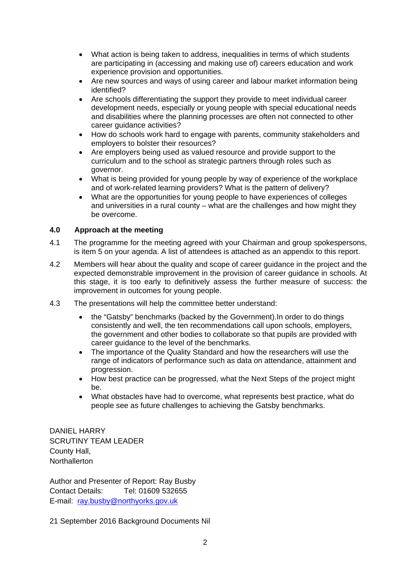- What action is being taken to address, inequalities in terms of which students are participating in (accessing and making use of) careers education and work experience provision and opportunities.
- Are new sources and ways of using career and labour market information being identified?
- Are schools differentiating the support they provide to meet individual career development needs, especially or young people with special educational needs and disabilities where the planning processes are often not connected to other career guidance activities?
- How do schools work hard to engage with parents, community stakeholders and employers to bolster their resources?
- Are employers being used as valued resource and provide support to the curriculum and to the school as strategic partners through roles such as governor.
- What is being provided for young people by way of experience of the workplace and of work-related learning providers? What is the pattern of delivery?
- What are the opportunities for young people to have experiences of colleges and universities in a rural county – what are the challenges and how might they be overcome.

## **4.0 Approach at the meeting**

- 4.1 The programme for the meeting agreed with your Chairman and group spokespersons, is item 5 on your agenda. A list of attendees is attached as an appendix to this report.
- 4.2 Members will hear about the quality and scope of career guidance in the project and the expected demonstrable improvement in the provision of career guidance in schools. At this stage, it is too early to definitively assess the further measure of success: the improvement in outcomes for young people.
- 4.3 The presentations will help the committee better understand:
	- the "Gatsby" benchmarks (backed by the Government).In order to do things consistently and well, the ten recommendations call upon schools, employers, the government and other bodies to collaborate so that pupils are provided with career guidance to the level of the benchmarks.
	- The importance of the Quality Standard and how the researchers will use the range of indicators of performance such as data on attendance, attainment and progression.
	- How best practice can be progressed, what the Next Steps of the project might be.
	- What obstacles have had to overcome, what represents best practice, what do people see as future challenges to achieving the Gatsby benchmarks.

DANIEL HARRY SCRUTINY TEAM LEADER County Hall, **Northallerton** 

Author and Presenter of Report: Ray Busby Contact Details: Tel: 01609 532655 E-mail: ray.busby@northyorks.gov.uk

21 September 2016 Background Documents Nil